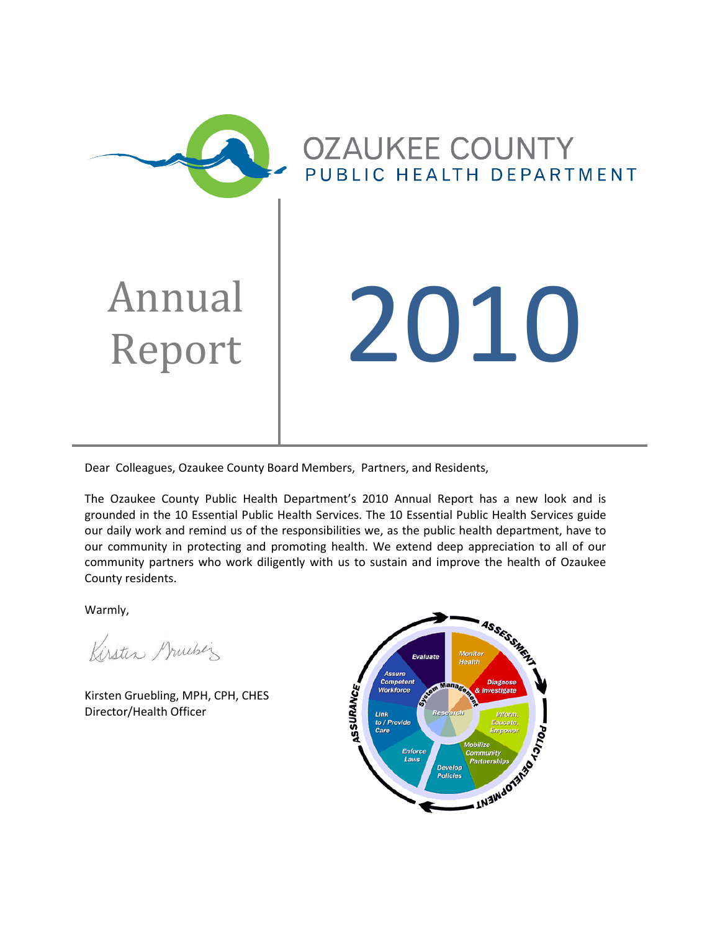

Dear Colleagues, Ozaukee County Board Members, Partners, and Residents,

The Ozaukee County Public Health Department's 2010 Annual Report has a new look and is grounded in the 10 Essential Public Health Services. The 10 Essential Public Health Services guide our daily work and remind us of the responsibilities we, as the public health department, have to our community in protecting and promoting health. We extend deep appreciation to all of our community partners who work diligently with us to sustain and improve the health of Ozaukee County residents.

Warmly,

Kirsten Gruebez

Kirsten Gruebling, MPH, CPH, CHES Director/Health Officer

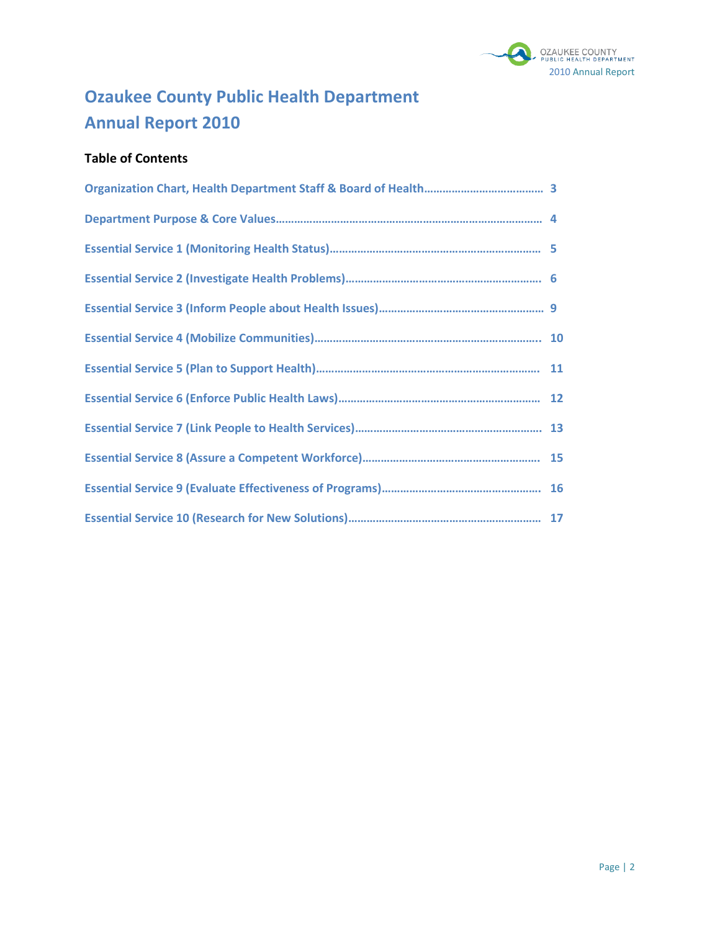

# **Ozaukee County Public Health Department Annual Report 2010**

# **Table of Contents**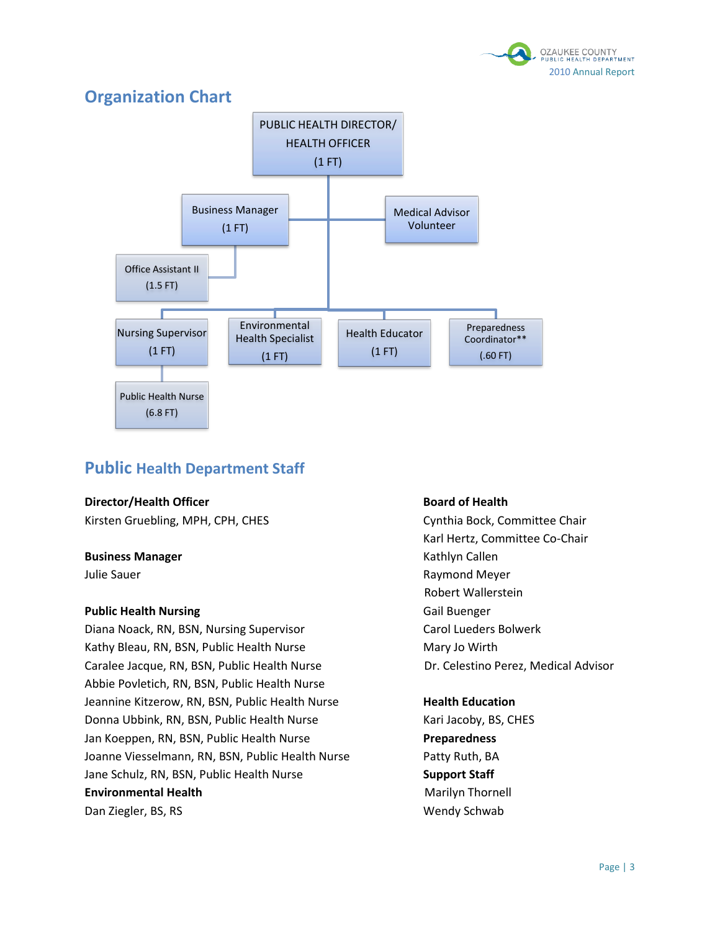

# **Organization Chart**



# **Public Health Department Staff**

#### **Director/Health Officer Board of Health**

Kirsten Gruebling, MPH, CPH, CHES CHAIR CHES Cynthia Bock, Committee Chair

#### **Business Manager Business Manager Research Manager Kathlyn Callen**

#### **Public Health Nursing Call Buenger Call Buenger**

Diana Noack, RN, BSN, Nursing Supervisor Carol Lueders Bolwerk Kathy Bleau, RN, BSN, Public Health Nurse Mary Jo Wirth Caralee Jacque, RN, BSN, Public Health Nurse Dr. Celestino Perez, Medical Advisor Abbie Povletich, RN, BSN, Public Health Nurse Jeannine Kitzerow, RN, BSN, Public Health Nurse **Health Education** Donna Ubbink, RN, BSN, Public Health Nurse Kari Jacoby, BS, CHES Jan Koeppen, RN, BSN, Public Health Nurse **Preparedness** Joanne Viesselmann, RN, BSN, Public Health Nurse Patty Ruth, BA Jane Schulz, RN, BSN, Public Health Nurse **Support Staff Environmental Health**  Marilyn Thornell **Marilyn Thornell** Dan Ziegler, BS, RS Wendy Schwab

Karl Hertz, Committee Co-Chair Julie Sauer **Accord Accord Contract Contract Contract Contract Contract Contract Contract Contract Contract Contract Contract Contract Contract Contract Contract Contract Contract Contract Contract Contract Contract Contra** Robert Wallerstein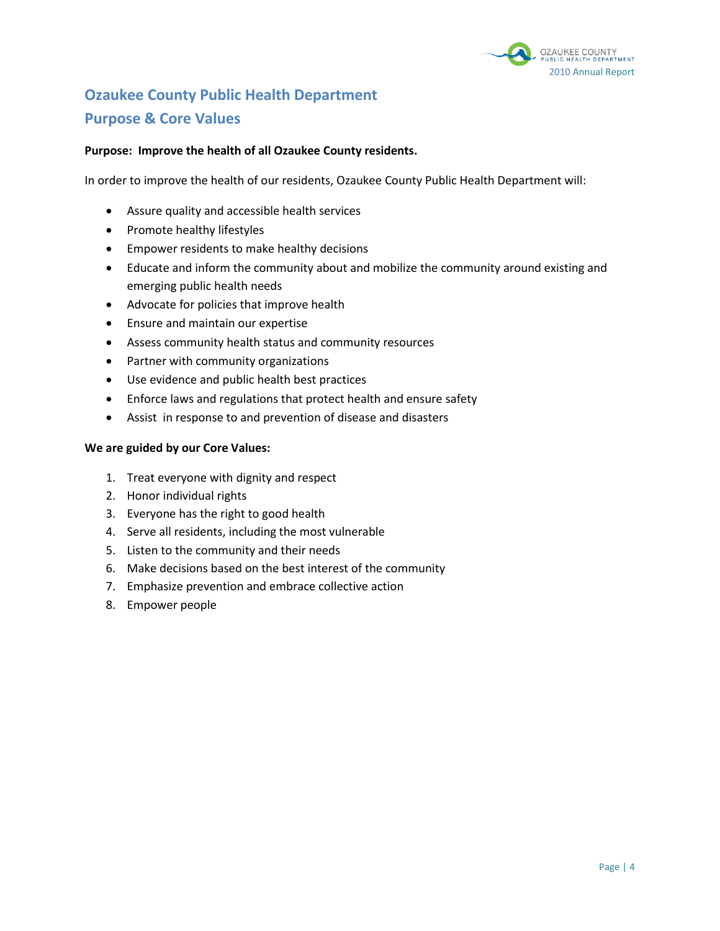

# **Ozaukee County Public Health Department Purpose & Core Values**

#### **Purpose: Improve the health of all Ozaukee County residents.**

In order to improve the health of our residents, Ozaukee County Public Health Department will:

- Assure quality and accessible health services
- Promote healthy lifestyles
- **Empower residents to make healthy decisions**
- Educate and inform the community about and mobilize the community around existing and emerging public health needs
- Advocate for policies that improve health
- Ensure and maintain our expertise
- Assess community health status and community resources
- Partner with community organizations
- Use evidence and public health best practices
- Enforce laws and regulations that protect health and ensure safety
- Assist in response to and prevention of disease and disasters

#### **We are guided by our Core Values:**

- 1. Treat everyone with dignity and respect
- 2. Honor individual rights
- 3. Everyone has the right to good health
- 4. Serve all residents, including the most vulnerable
- 5. Listen to the community and their needs
- 6. Make decisions based on the best interest of the community
- 7. Emphasize prevention and embrace collective action
- 8. Empower people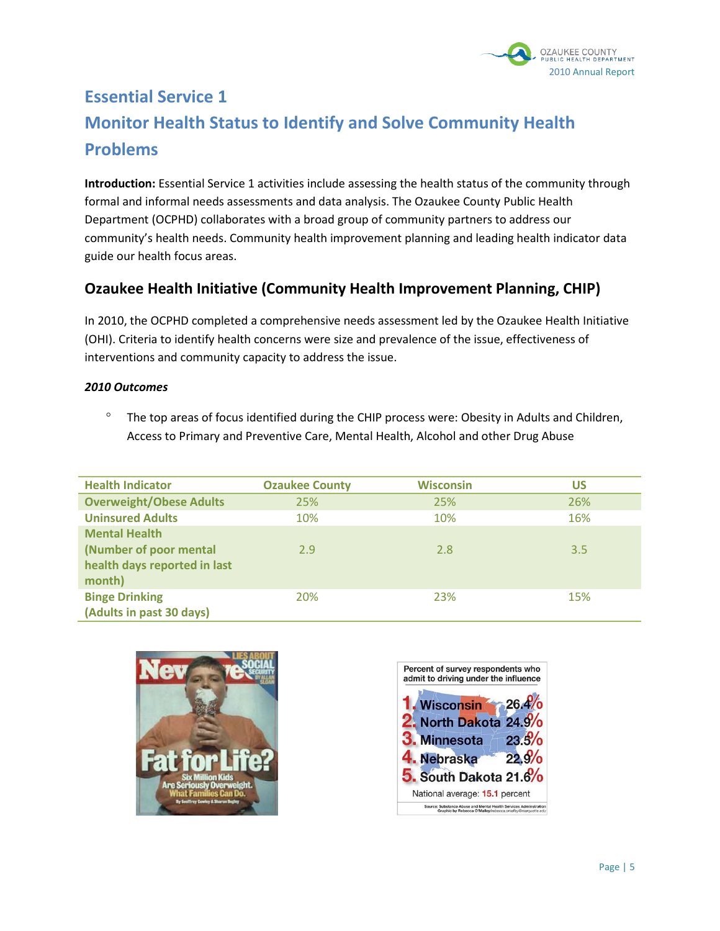

# **Essential Service 1 Monitor Health Status to Identify and Solve Community Health Problems**

**Introduction:** Essential Service 1 activities include assessing the health status of the community through formal and informal needs assessments and data analysis. The Ozaukee County Public Health Department (OCPHD) collaborates with a broad group of community partners to address our community's health needs. Community health improvement planning and leading health indicator data guide our health focus areas.

# **Ozaukee Health Initiative (Community Health Improvement Planning, CHIP)**

In 2010, the OCPHD completed a comprehensive needs assessment led by the Ozaukee Health Initiative (OHI). Criteria to identify health concerns were size and prevalence of the issue, effectiveness of interventions and community capacity to address the issue.

#### *2010 Outcomes*

 $\degree$  The top areas of focus identified during the CHIP process were: Obesity in Adults and Children, Access to Primary and Preventive Care, Mental Health, Alcohol and other Drug Abuse

| <b>Health Indicator</b>        | <b>Ozaukee County</b> | <b>Wisconsin</b> | US  |
|--------------------------------|-----------------------|------------------|-----|
| <b>Overweight/Obese Adults</b> | 25%                   | 25%              | 26% |
| <b>Uninsured Adults</b>        | 10%                   | 10%              | 16% |
| <b>Mental Health</b>           |                       |                  |     |
| (Number of poor mental         | 2.9                   | 2.8              | 3.5 |
| health days reported in last   |                       |                  |     |
| month)                         |                       |                  |     |
| <b>Binge Drinking</b>          | <b>20%</b>            | 23%              | 15% |
| (Adults in past 30 days)       |                       |                  |     |



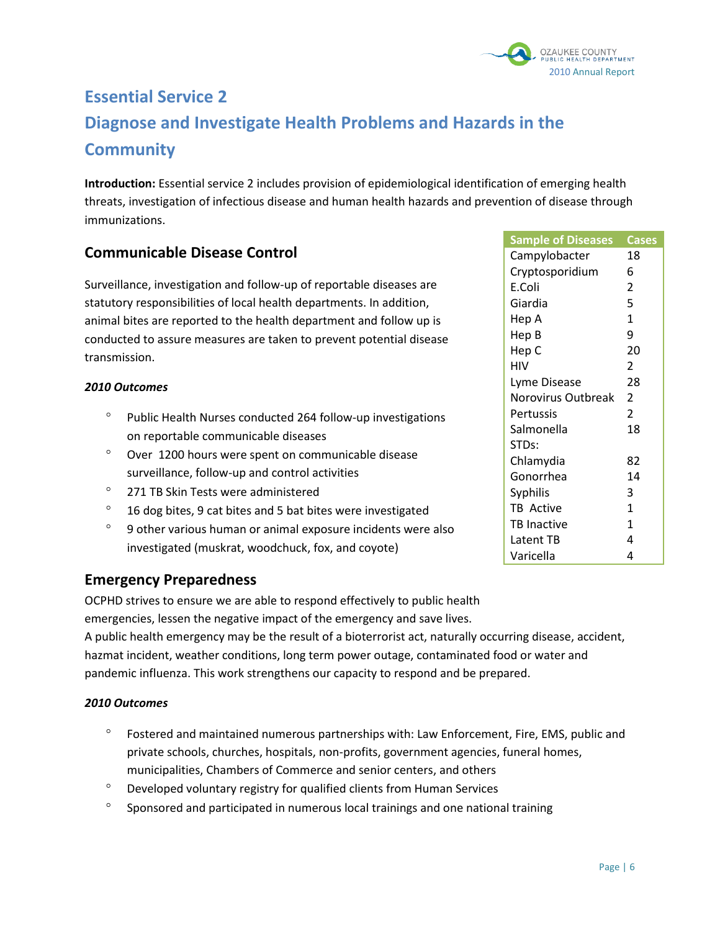

# **Essential Service 2 Diagnose and Investigate Health Problems and Hazards in the Community**

**Introduction:** Essential service 2 includes provision of epidemiological identification of emerging health threats, investigation of infectious disease and human health hazards and prevention of disease through immunizations.

# **Communicable Disease Control**

Surveillance, investigation and follow-up of reportable diseases are statutory responsibilities of local health departments. In addition, animal bites are reported to the health department and follow up is conducted to assure measures are taken to prevent potential disease transmission.

#### *2010 Outcomes*

- Public Health Nurses conducted 264 follow-up investigations on reportable communicable diseases
- Over 1200 hours were spent on communicable disease surveillance, follow-up and control activities
- <sup>o</sup> 271 TB Skin Tests were administered
- $^{\circ}$  16 dog bites, 9 cat bites and 5 bat bites were investigated
- $\degree$  9 other various human or animal exposure incidents were also investigated (muskrat, woodchuck, fox, and coyote)

# **Emergency Preparedness**

OCPHD strives to ensure we are able to respond effectively to public health

emergencies, lessen the negative impact of the emergency and save lives.

A public health emergency may be the result of a bioterrorist act, naturally occurring disease, accident, hazmat incident, weather conditions, long term power outage, contaminated food or water and pandemic influenza. This work strengthens our capacity to respond and be prepared.

- $\degree$  Fostered and maintained numerous partnerships with: Law Enforcement, Fire, EMS, public and private schools, churches, hospitals, non-profits, government agencies, funeral homes, municipalities, Chambers of Commerce and senior centers, and others
- Developed voluntary registry for qualified clients from Human Services
- <sup>o</sup> Sponsored and participated in numerous local trainings and one national training

| <b>Sample of Diseases</b> | <b>Cases</b>   |
|---------------------------|----------------|
| Campylobacter             | 18             |
| Cryptosporidium           | 6              |
| E.Coli                    | 2              |
| Giardia                   | 5              |
| Hep A                     | $\mathbf{1}$   |
| Hep B                     | 9              |
| Hep C                     | 20             |
| HIV                       | 2              |
| Lyme Disease              | 28             |
| Norovirus Outbreak        | 2              |
| Pertussis                 | $\overline{2}$ |
| Salmonella                | 18             |
| STDs:                     |                |
| Chlamydia                 | 82             |
| Gonorrhea                 | 14             |
| <b>Syphilis</b>           | 3              |
| TB Active                 | $\mathbf{1}$   |
| <b>TB Inactive</b>        | $\mathbf{1}$   |
| Latent TB                 | 4              |
| Varicella                 | 4              |
|                           |                |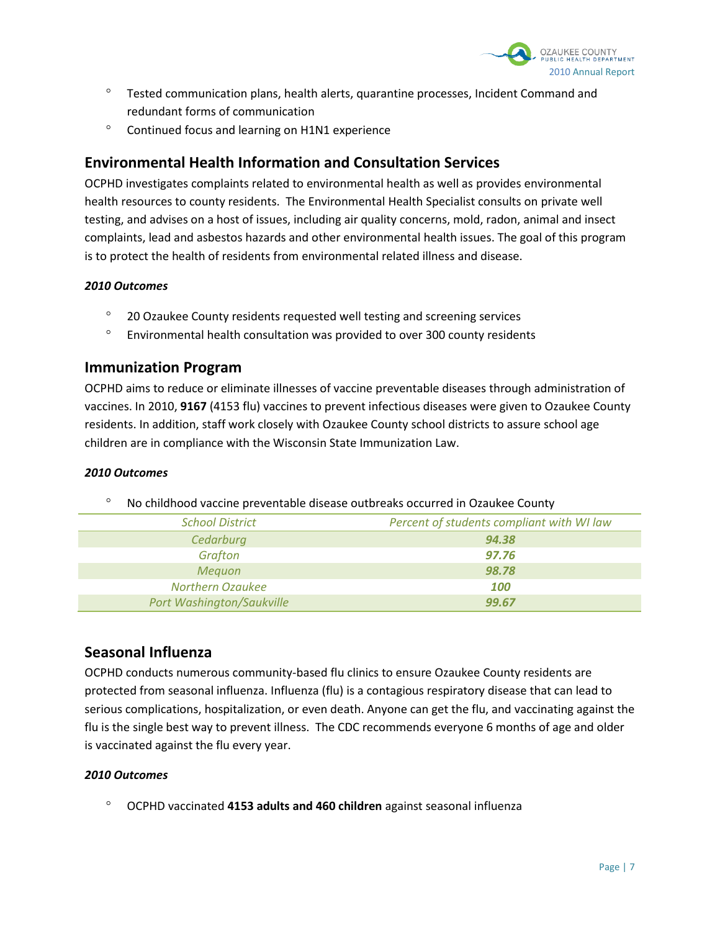

- Tested communication plans, health alerts, quarantine processes, Incident Command and redundant forms of communication
- <sup>o</sup> Continued focus and learning on H1N1 experience

# **Environmental Health Information and Consultation Services**

OCPHD investigates complaints related to environmental health as well as provides environmental health resources to county residents. The Environmental Health Specialist consults on private well testing, and advises on a host of issues, including air quality concerns, mold, radon, animal and insect complaints, lead and asbestos hazards and other environmental health issues. The goal of this program is to protect the health of residents from environmental related illness and disease.

#### *2010 Outcomes*

- <sup>o</sup> 20 Ozaukee County residents requested well testing and screening services
- $\degree$  Environmental health consultation was provided to over 300 county residents

### **Immunization Program**

OCPHD aims to reduce or eliminate illnesses of vaccine preventable diseases through administration of vaccines. In 2010, **9167** (4153 flu) vaccines to prevent infectious diseases were given to Ozaukee County residents. In addition, staff work closely with Ozaukee County school districts to assure school age children are in compliance with the Wisconsin State Immunization Law.

#### *2010 Outcomes*

No childhood vaccine preventable disease outbreaks occurred in Ozaukee County

| <b>School District</b>           | Percent of students compliant with WI law |  |  |
|----------------------------------|-------------------------------------------|--|--|
| Cedarburg                        | 94.38                                     |  |  |
| Grafton                          | 97.76                                     |  |  |
| <b>Meguon</b>                    | 98.78                                     |  |  |
| <b>Northern Ozaukee</b>          | 100                                       |  |  |
| <b>Port Washington/Saukville</b> | 99.67                                     |  |  |

# **Seasonal Influenza**

OCPHD conducts numerous community-based flu clinics to ensure Ozaukee County residents are protected from seasonal influenza. Influenza (flu) is a [contagious](http://www.cdc.gov/flu/about/disease/spread.htm) respiratory disease that can lead to serious complications, hospitalization, or even death. Anyone can get the flu, and vaccinating against the flu is the single best way to prevent illness. The CDC recommends everyone 6 months of age and older is vaccinated against the flu every year.

#### *2010 Outcomes*

OCPHD vaccinated **4153 adults and 460 children** against seasonal influenza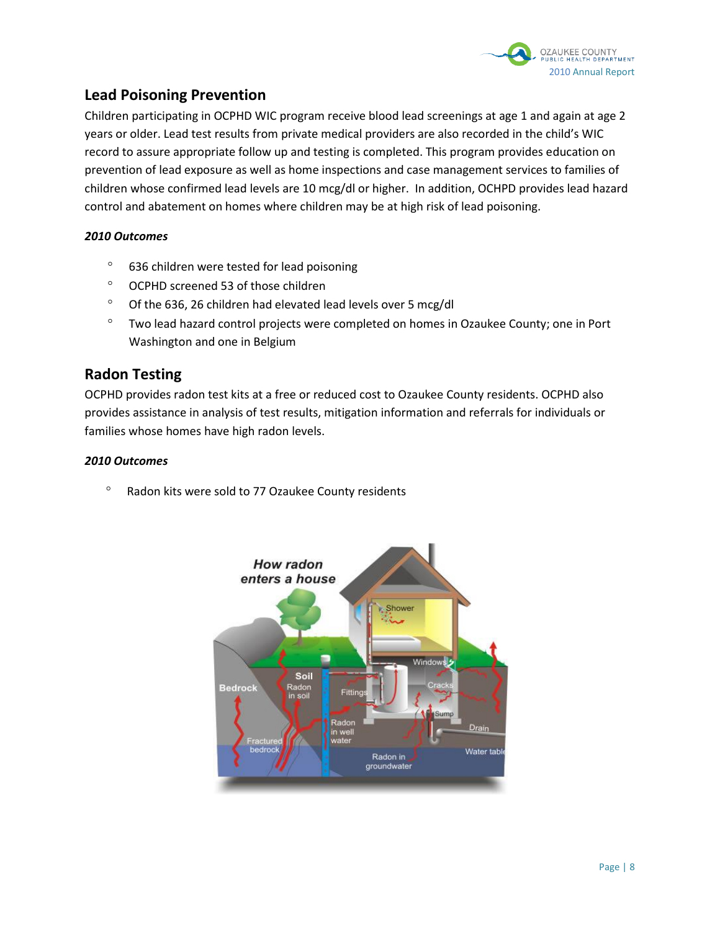

# **Lead Poisoning Prevention**

Children participating in OCPHD WIC program receive blood lead screenings at age 1 and again at age 2 years or older. Lead test results from private medical providers are also recorded in the child's WIC record to assure appropriate follow up and testing is completed. This program provides education on prevention of lead exposure as well as home inspections and case management services to families of children whose confirmed lead levels are 10 mcg/dl or higher. In addition, OCHPD provides lead hazard control and abatement on homes where children may be at high risk of lead poisoning.

#### *2010 Outcomes*

- <sup>o</sup> 636 children were tested for lead poisoning
- OCPHD screened 53 of those children
- $\degree$  Of the 636, 26 children had elevated lead levels over 5 mcg/dl
- <sup>o</sup> Two lead hazard control projects were completed on homes in Ozaukee County; one in Port Washington and one in Belgium

# **Radon Testing**

OCPHD provides radon test kits at a free or reduced cost to Ozaukee County residents. OCPHD also provides assistance in analysis of test results, mitigation information and referrals for individuals or families whose homes have high radon levels.

#### *2010 Outcomes*

<sup>o</sup> Radon kits were sold to 77 Ozaukee County residents

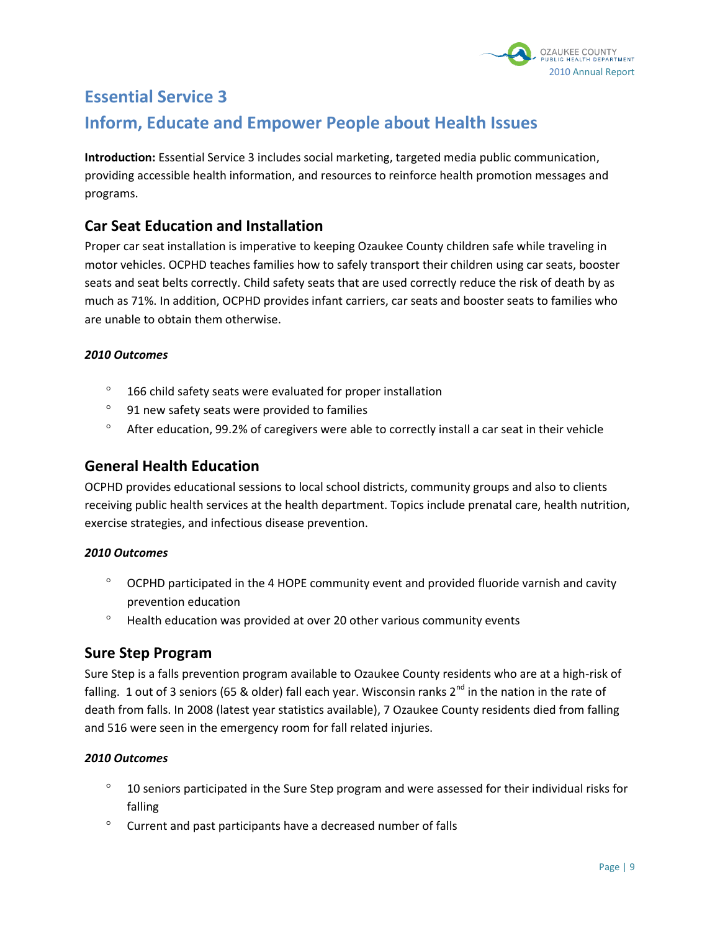

# **Essential Service 3**

# **Inform, Educate and Empower People about Health Issues**

**Introduction:** Essential Service 3 includes social marketing, targeted media public communication, providing accessible health information, and resources to reinforce health promotion messages and programs.

# **Car Seat Education and Installation**

Proper car seat installation is imperative to keeping Ozaukee County children safe while traveling in motor vehicles. OCPHD teaches families how to safely transport their children using car seats, booster seats and seat belts correctly. Child safety seats that are used correctly reduce the risk of death by as much as 71%. In addition, OCPHD provides infant carriers, car seats and booster seats to families who are unable to obtain them otherwise.

#### *2010 Outcomes*

- $\degree$  166 child safety seats were evaluated for proper installation
- <sup>o</sup> 91 new safety seats were provided to families
- $\degree$  After education, 99.2% of caregivers were able to correctly install a car seat in their vehicle

# **General Health Education**

OCPHD provides educational sessions to local school districts, community groups and also to clients receiving public health services at the health department. Topics include prenatal care, health nutrition, exercise strategies, and infectious disease prevention.

#### *2010 Outcomes*

- $\degree$  OCPHD participated in the 4 HOPE community event and provided fluoride varnish and cavity prevention education
- $\degree$  Health education was provided at over 20 other various community events

# **Sure Step Program**

Sure Step is a falls prevention program available to Ozaukee County residents who are at a high-risk of falling. 1 out of 3 seniors (65 & older) fall each year. Wisconsin ranks  $2^{nd}$  in the nation in the rate of death from falls. In 2008 (latest year statistics available), 7 Ozaukee County residents died from falling and 516 were seen in the emergency room for fall related injuries.

- $\degree$  10 seniors participated in the Sure Step program and were assessed for their individual risks for falling
- $\degree$  Current and past participants have a decreased number of falls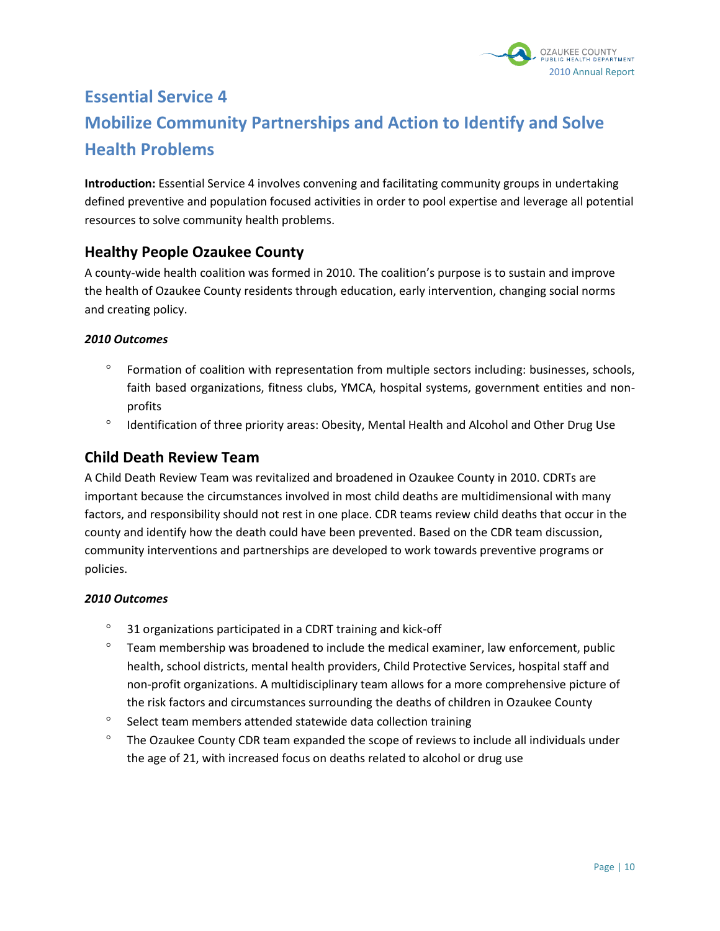

# **Essential Service 4 Mobilize Community Partnerships and Action to Identify and Solve Health Problems**

**Introduction:** Essential Service 4 involves convening and facilitating community groups in undertaking defined preventive and population focused activities in order to pool expertise and leverage all potential resources to solve community health problems.

# **Healthy People Ozaukee County**

A county-wide health coalition was formed in 2010. The coalition's purpose is to sustain and improve the health of Ozaukee County residents through education, early intervention, changing social norms and creating policy.

#### *2010 Outcomes*

- Formation of coalition with representation from multiple sectors including: businesses, schools, faith based organizations, fitness clubs, YMCA, hospital systems, government entities and nonprofits
- <sup>o</sup> Identification of three priority areas: Obesity, Mental Health and Alcohol and Other Drug Use

# **Child Death Review Team**

A Child Death Review Team was revitalized and broadened in Ozaukee County in 2010. CDRTs are important because the circumstances involved in most child deaths are multidimensional with many factors, and responsibility should not rest in one place. CDR teams review child deaths that occur in the county and identify how the death could have been prevented. Based on the CDR team discussion, community interventions and partnerships are developed to work towards preventive programs or policies.

- 31 organizations participated in a CDRT training and kick-off
- $\degree$  Team membership was broadened to include the medical examiner, law enforcement, public health, school districts, mental health providers, Child Protective Services, hospital staff and non-profit organizations. A multidisciplinary team allows for a more comprehensive picture of the risk factors and circumstances surrounding the deaths of children in Ozaukee County
- $\degree$  Select team members attended statewide data collection training
- $\degree$  The Ozaukee County CDR team expanded the scope of reviews to include all individuals under the age of 21, with increased focus on deaths related to alcohol or drug use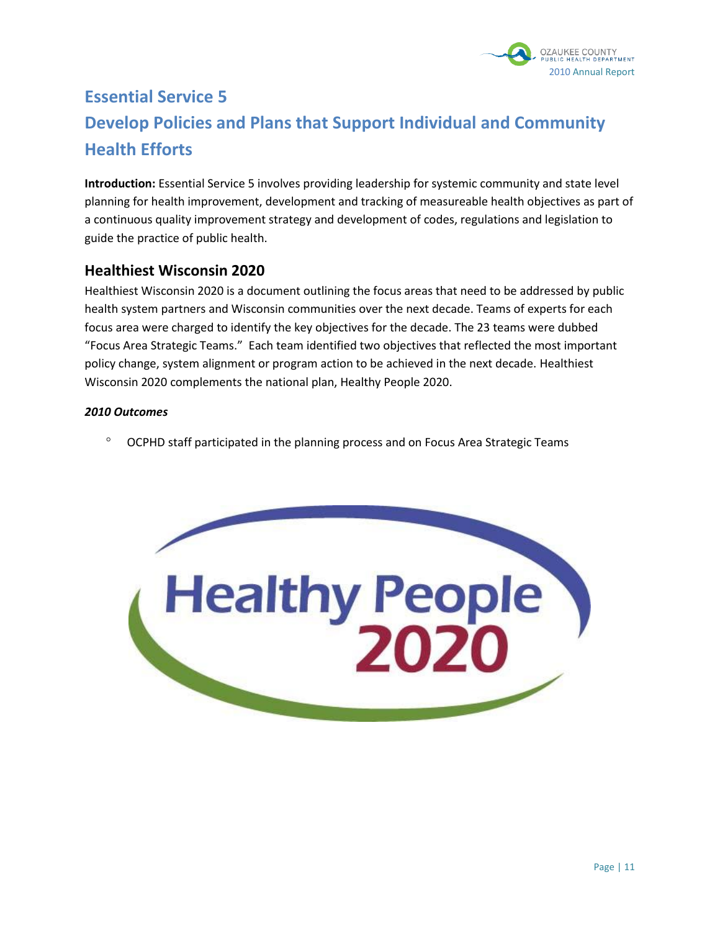

# **Essential Service 5 Develop Policies and Plans that Support Individual and Community Health Efforts**

**Introduction:** Essential Service 5 involves providing leadership for systemic community and state level planning for health improvement, development and tracking of measureable health objectives as part of a continuous quality improvement strategy and development of codes, regulations and legislation to guide the practice of public health.

# **Healthiest Wisconsin 2020**

Healthiest Wisconsin 2020 is a document outlining the focus areas that need to be addressed by public health system partners and Wisconsin communities over the next decade. Teams of experts for each focus area were charged to identify the key objectives for the decade. The 23 teams were dubbed "Focus Area Strategic Teams." Each team identified two objectives that reflected the most important policy change, system alignment or program action to be achieved in the next decade. Healthiest Wisconsin 2020 complements the national plan, Healthy People 2020.

#### *2010 Outcomes*

<sup>o</sup> OCPHD staff participated in the planning process and on Focus Area Strategic Teams

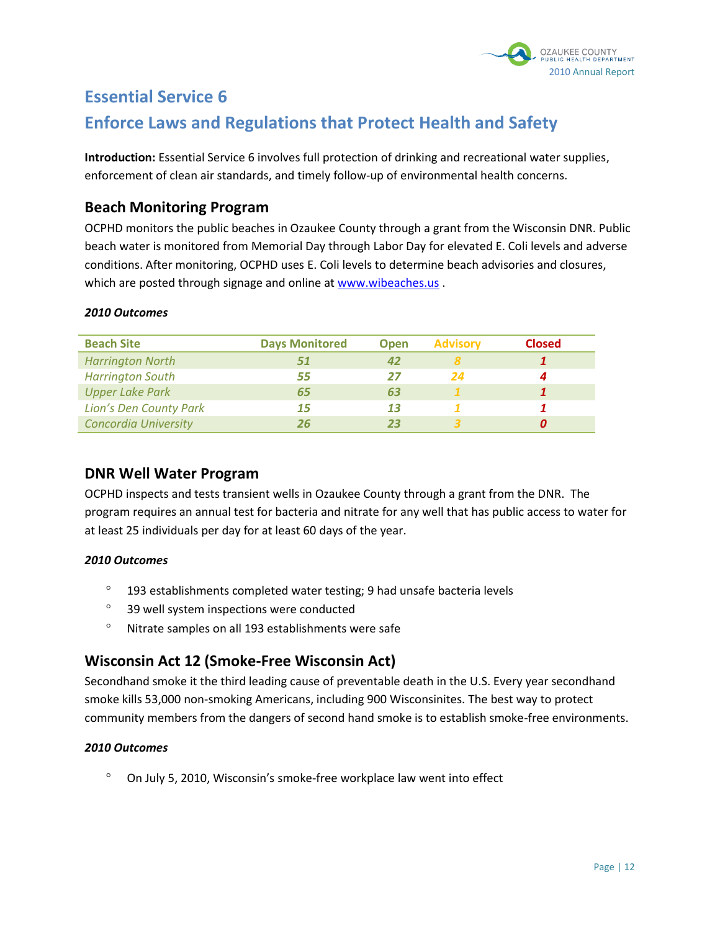

# **Essential Service 6**

# **Enforce Laws and Regulations that Protect Health and Safety**

**Introduction:** Essential Service 6 involves full protection of drinking and recreational water supplies, enforcement of clean air standards, and timely follow-up of environmental health concerns.

# **Beach Monitoring Program**

OCPHD monitors the public beaches in Ozaukee County through a grant from the Wisconsin DNR. Public beach water is monitored from Memorial Day through Labor Day for elevated E. Coli levels and adverse conditions. After monitoring, OCPHD uses E. Coli levels to determine beach advisories and closures, which are posted through signage and online at [www.wibeaches.us](http://www.wibeaches.us/).

#### *2010 Outcomes*

| <b>Beach Site</b>           | <b>Days Monitored</b> | <b>Open</b> | <b>Advisory</b> | <b>Closed</b> |
|-----------------------------|-----------------------|-------------|-----------------|---------------|
| <b>Harrington North</b>     | 51                    |             |                 |               |
| <b>Harrington South</b>     | 55                    | 27          | 24              |               |
| <b>Upper Lake Park</b>      | 65                    | 63          |                 |               |
| Lion's Den County Park      | 15                    | 13          |                 |               |
| <b>Concordia University</b> | 26                    |             |                 |               |

# **DNR Well Water Program**

OCPHD inspects and tests transient wells in Ozaukee County through a grant from the DNR. The program requires an annual test for bacteria and nitrate for any well that has public access to water for at least 25 individuals per day for at least 60 days of the year.

#### *2010 Outcomes*

- $\degree$  193 establishments completed water testing; 9 had unsafe bacteria levels
- <sup>o</sup> 39 well system inspections were conducted
- Nitrate samples on all 193 establishments were safe

# **Wisconsin Act 12 (Smoke-Free Wisconsin Act)**

Secondhand smoke it the third leading cause of preventable death in the U.S. Every year secondhand smoke kills 53,000 non-smoking Americans, including 900 Wisconsinites. The best way to protect community members from the dangers of second hand smoke is to establish smoke-free environments.

#### *2010 Outcomes*

On July 5, 2010, Wisconsin's smoke-free workplace law went into effect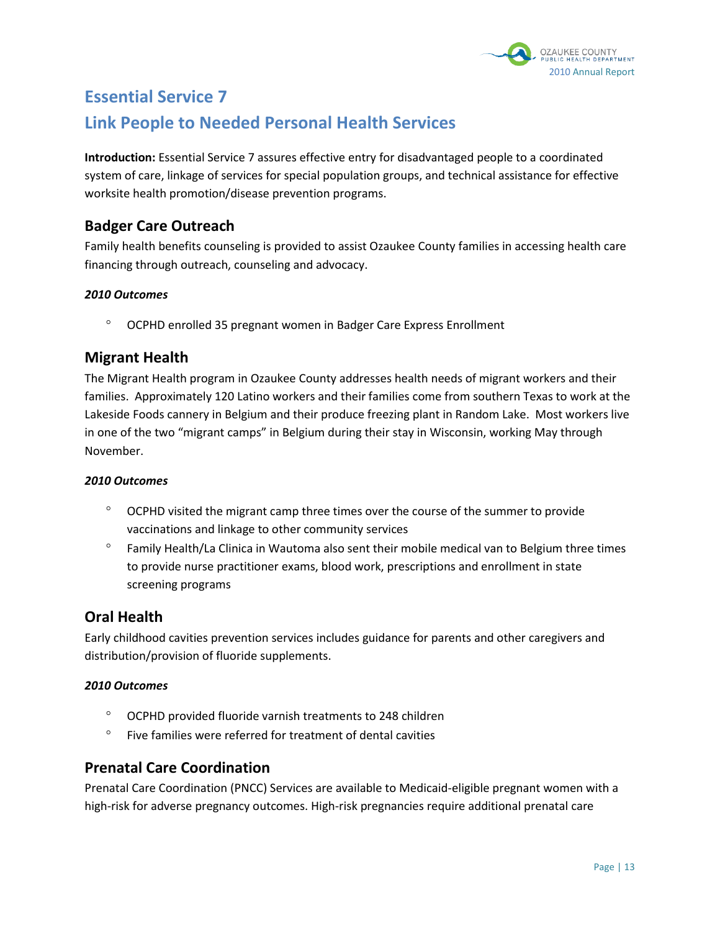

# **Essential Service 7 Link People to Needed Personal Health Services**

**Introduction:** Essential Service 7 assures effective entry for disadvantaged people to a coordinated system of care, linkage of services for special population groups, and technical assistance for effective worksite health promotion/disease prevention programs.

# **Badger Care Outreach**

Family health benefits counseling is provided to assist Ozaukee County families in accessing health care financing through outreach, counseling and advocacy.

### *2010 Outcomes*

OCPHD enrolled 35 pregnant women in Badger Care Express Enrollment

# **Migrant Health**

The Migrant Health program in Ozaukee County addresses health needs of migrant workers and their families. Approximately 120 Latino workers and their families come from southern Texas to work at the Lakeside Foods cannery in Belgium and their produce freezing plant in Random Lake. Most workers live in one of the two "migrant camps" in Belgium during their stay in Wisconsin, working May through November.

#### *2010 Outcomes*

- $\degree$  OCPHD visited the migrant camp three times over the course of the summer to provide vaccinations and linkage to other community services
- <sup>o</sup> Family Health/La Clinica in Wautoma also sent their mobile medical van to Belgium three times to provide nurse practitioner exams, blood work, prescriptions and enrollment in state screening programs

# **Oral Health**

Early childhood cavities prevention services includes guidance for parents and other caregivers and distribution/provision of fluoride supplements.

#### *2010 Outcomes*

- OCPHD provided fluoride varnish treatments to 248 children
- $\degree$  Five families were referred for treatment of dental cavities

# **Prenatal Care Coordination**

Prenatal Care Coordination (PNCC) Services are available to Medicaid-eligible pregnant women with a high-risk for adverse pregnancy outcomes. High-risk pregnancies require additional prenatal care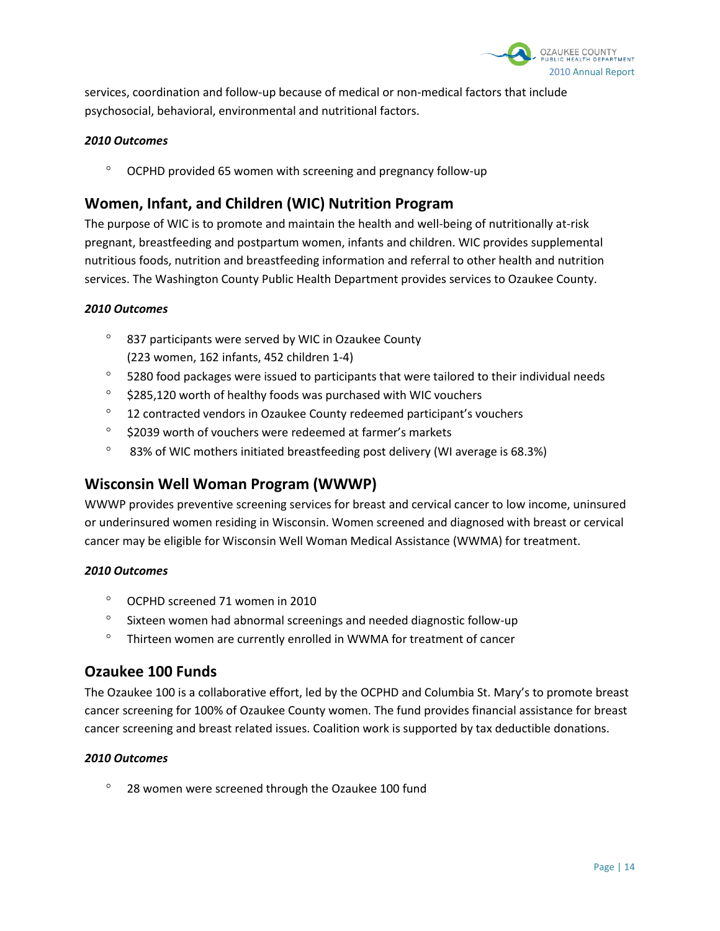

services, coordination and follow-up because of medical or non-medical factors that include psychosocial, behavioral, environmental and nutritional factors.

#### *2010 Outcomes*

OCPHD provided 65 women with screening and pregnancy follow-up

# **Women, Infant, and Children (WIC) Nutrition Program**

The purpose of WIC is to promote and maintain the health and well-being of nutritionally at-risk pregnant, breastfeeding and postpartum women, infants and children. WIC provides supplemental nutritious foods, nutrition and breastfeeding information and referral to other health and nutrition services. The Washington County Public Health Department provides services to Ozaukee County.

#### *2010 Outcomes*

- $\degree$  837 participants were served by WIC in Ozaukee County (223 women, 162 infants, 452 children 1-4)
- $\degree$  5280 food packages were issued to participants that were tailored to their individual needs
- $\degree$  \$285,120 worth of healthy foods was purchased with WIC vouchers
- <sup>o</sup> 12 contracted vendors in Ozaukee County redeemed participant's vouchers
- $\degree$  \$2039 worth of vouchers were redeemed at farmer's markets
- <sup>o</sup> 83% of WIC mothers initiated breastfeeding post delivery (WI average is 68.3%)

# **Wisconsin Well Woman Program (WWWP)**

WWWP provides preventive screening services for breast and cervical cancer to low income, uninsured or underinsured women residing in Wisconsin. Women screened and diagnosed with breast or cervical cancer may be eligible for Wisconsin Well Woman Medical Assistance (WWMA) for treatment.

#### *2010 Outcomes*

- OCPHD screened 71 women in 2010
- $\degree$  Sixteen women had abnormal screenings and needed diagnostic follow-up
- $\degree$  Thirteen women are currently enrolled in WWMA for treatment of cancer

# **Ozaukee 100 Funds**

The Ozaukee 100 is a collaborative effort, led by the OCPHD and Columbia St. Mary's to promote breast cancer screening for 100% of Ozaukee County women. The fund provides financial assistance for breast cancer screening and breast related issues. Coalition work is supported by tax deductible donations.

#### *2010 Outcomes*

 $\degree$  28 women were screened through the Ozaukee 100 fund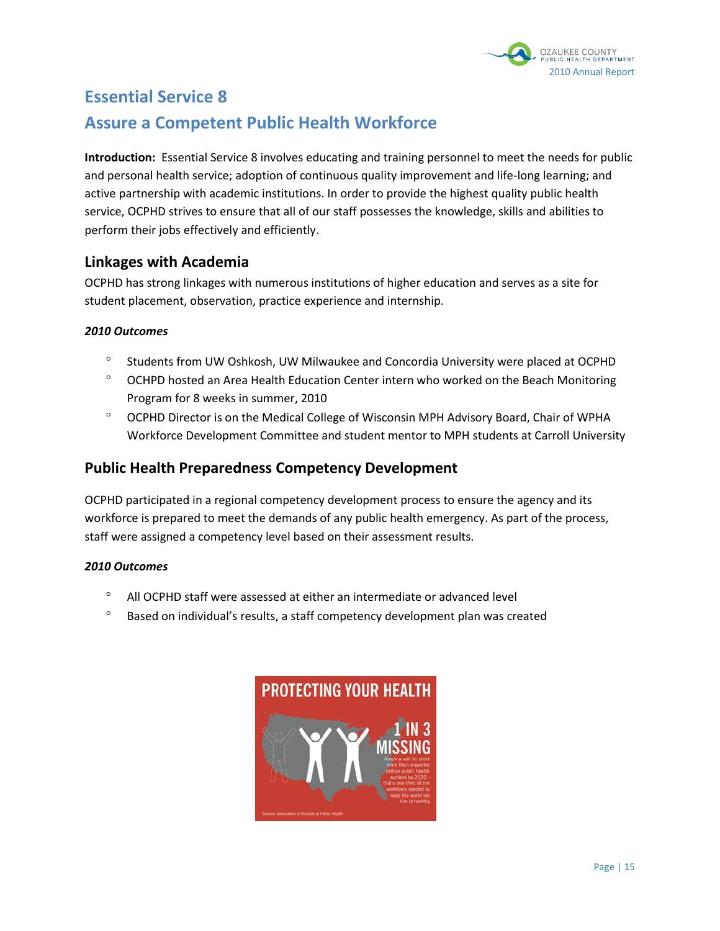

# **Essential Service 8 Assure a Competent Public Health Workforce**

**Introduction:** Essential Service 8 involves educating and training personnel to meet the needs for public and personal health service; adoption of continuous quality improvement and life-long learning; and active partnership with academic institutions. In order to provide the highest quality public health service, OCPHD strives to ensure that all of our staff possesses the knowledge, skills and abilities to perform their jobs effectively and efficiently.

# **Linkages with Academia**

OCPHD has strong linkages with numerous institutions of higher education and serves as a site for student placement, observation, practice experience and internship.

#### *2010 Outcomes*

- <sup>o</sup> Students from UW Oshkosh, UW Milwaukee and Concordia University were placed at OCPHD
- $\degree$  OCHPD hosted an Area Health Education Center intern who worked on the Beach Monitoring Program for 8 weeks in summer, 2010
- OCPHD Director is on the Medical College of Wisconsin MPH Advisory Board, Chair of WPHA Workforce Development Committee and student mentor to MPH students at Carroll University

# **Public Health Preparedness Competency Development**

OCPHD participated in a regional competency development process to ensure the agency and its workforce is prepared to meet the demands of any public health emergency. As part of the process, staff were assigned a competency level based on their assessment results.

- All OCPHD staff were assessed at either an intermediate or advanced level
- $\degree$  Based on individual's results, a staff competency development plan was created

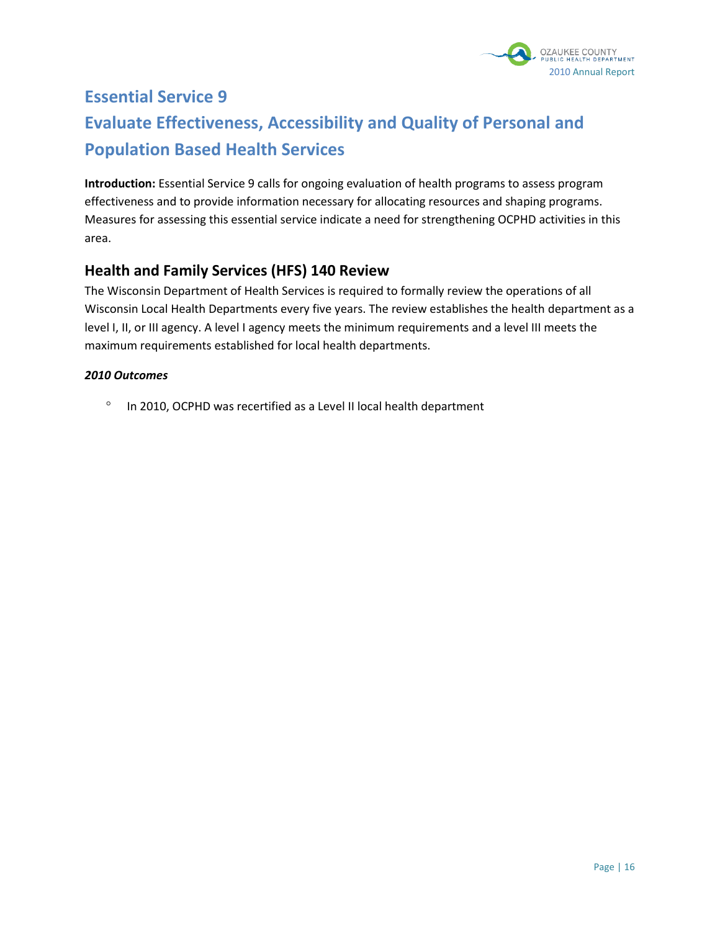

# **Essential Service 9 Evaluate Effectiveness, Accessibility and Quality of Personal and Population Based Health Services**

**Introduction:** Essential Service 9 calls for ongoing evaluation of health programs to assess program effectiveness and to provide information necessary for allocating resources and shaping programs. Measures for assessing this essential service indicate a need for strengthening OCPHD activities in this area.

# **Health and Family Services (HFS) 140 Review**

The Wisconsin Department of Health Services is required to formally review the operations of all Wisconsin Local Health Departments every five years. The review establishes the health department as a level I, II, or III agency. A level I agency meets the minimum requirements and a level III meets the maximum requirements established for local health departments.

#### *2010 Outcomes*

 $\degree$  In 2010, OCPHD was recertified as a Level II local health department